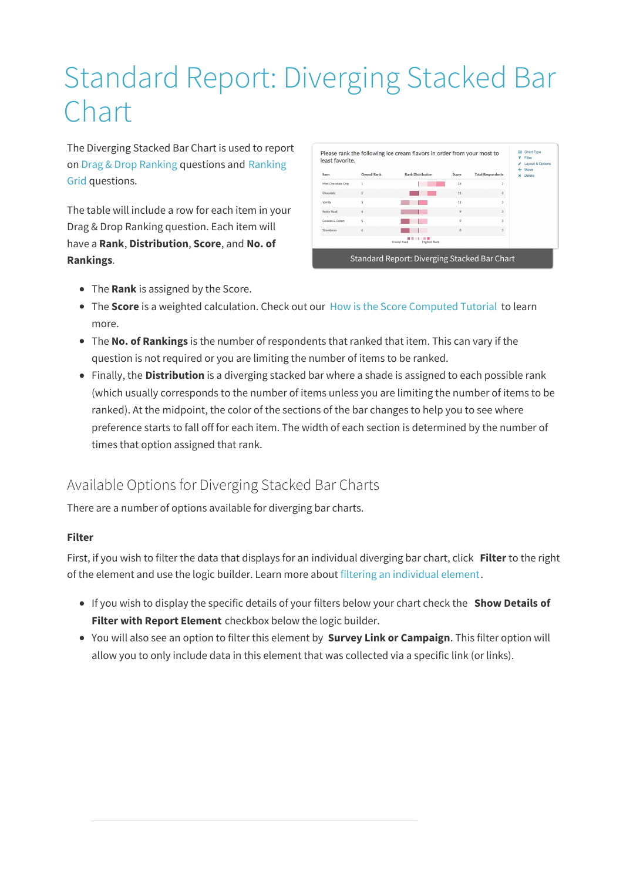# Standard Report: Diverging Stacked Bar Chart

The Diverging Stacked Bar Chart is used to report on Drag & Drop Ranking questions and Ranking Grid questions.

The table will include a row for each item in your Drag & Drop Ranking question. Each item will have a **Rank**, **Distribution**, **Score**, and **No. of Rankings**.

| Item                | <b>Overall Rank</b> | <b>Rank Distribution</b>                  | Score | <b>Total Respondents</b> | ÷<br>Move<br>Delete<br>÷ |
|---------------------|---------------------|-------------------------------------------|-------|--------------------------|--------------------------|
| Mint Chocolate Chip | ٠                   |                                           | 15    | 3                        |                          |
| Chorolate           | $\overline{2}$      |                                           | 11    | 3                        |                          |
| Vanilla             | a                   |                                           | 11    | a                        |                          |
| Rocky Road          | 4                   |                                           | 9     | $\overline{3}$           |                          |
| Cookies & Cream     | ś                   |                                           | ö     | $\mathbf{a}$             |                          |
| Strawberry          | 6                   |                                           | 8     | 3                        |                          |
|                     |                     | <b>Lowest Rank</b><br><b>Highest Rank</b> |       |                          |                          |

- The **Rank** is assigned by the Score.
- The **Score** is a weighted calculation. Check out our How is the Score Computed Tutorial to learn more.
- The **No. of Rankings** is the number of respondents that ranked that item. This can vary if the question is not required or you are limiting the number of items to be ranked.
- Finally, the **Distribution** is a diverging stacked bar where a shade is assigned to each possible rank (which usually corresponds to the number of items unless you are limiting the number of items to be ranked). At the midpoint, the color of the sections of the bar changes to help you to see where preference starts to fall off for each item. The width of each section is determined by the number of times that option assigned that rank.

## Available Options for Diverging Stacked Bar Charts

There are a number of options available for diverging bar charts.

#### **Filter**

First, if you wish to filter the data that displays for an individual diverging bar chart, click **Filter** to the right of the element and use the logic builder. Learn more about filtering an individual element.

- If you wish to display the specific details of your filters below your chart check the **Show Details of Filter with Report Element** checkbox below the logic builder.
- You will also see an option to filter this element by **Survey Link or Campaign**. This filter option will allow you to only include data in this element that was collected via a specific link (or links).